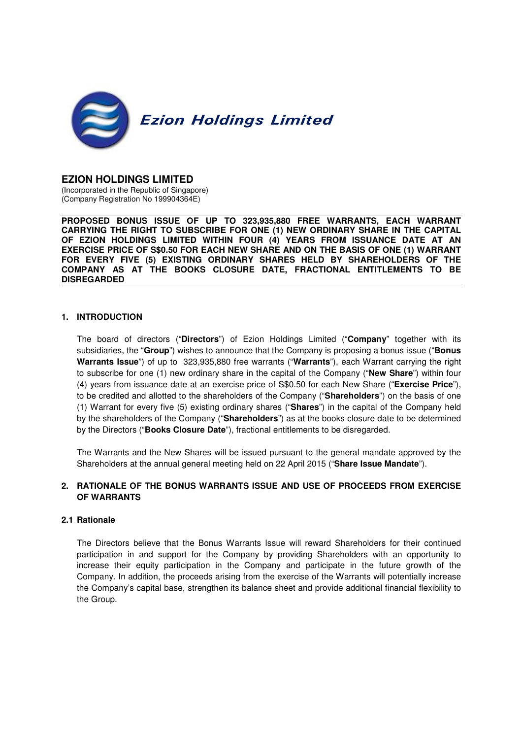

### **EZION HOLDINGS LIMITED**

(Incorporated in the Republic of Singapore) (Company Registration No 199904364E)

**PROPOSED BONUS ISSUE OF UP TO 323,935,880 FREE WARRANTS, EACH WARRANT CARRYING THE RIGHT TO SUBSCRIBE FOR ONE (1) NEW ORDINARY SHARE IN THE CAPITAL OF EZION HOLDINGS LIMITED WITHIN FOUR (4) YEARS FROM ISSUANCE DATE AT AN EXERCISE PRICE OF S\$0.50 FOR EACH NEW SHARE AND ON THE BASIS OF ONE (1) WARRANT FOR EVERY FIVE (5) EXISTING ORDINARY SHARES HELD BY SHAREHOLDERS OF THE COMPANY AS AT THE BOOKS CLOSURE DATE, FRACTIONAL ENTITLEMENTS TO BE DISREGARDED**

#### **1. INTRODUCTION**

The board of directors ("**Directors**") of Ezion Holdings Limited ("**Company**" together with its subsidiaries, the "**Group**") wishes to announce that the Company is proposing a bonus issue ("**Bonus Warrants Issue**") of up to 323,935,880 free warrants ("**Warrants**"), each Warrant carrying the right to subscribe for one (1) new ordinary share in the capital of the Company ("**New Share**") within four (4) years from issuance date at an exercise price of S\$0.50 for each New Share ("**Exercise Price**"), to be credited and allotted to the shareholders of the Company ("**Shareholders**") on the basis of one (1) Warrant for every five (5) existing ordinary shares ("**Shares**") in the capital of the Company held by the shareholders of the Company ("**Shareholders**") as at the books closure date to be determined by the Directors ("**Books Closure Date**"), fractional entitlements to be disregarded.

The Warrants and the New Shares will be issued pursuant to the general mandate approved by the Shareholders at the annual general meeting held on 22 April 2015 ("**Share Issue Mandate**").

# **2. RATIONALE OF THE BONUS WARRANTS ISSUE AND USE OF PROCEEDS FROM EXERCISE OF WARRANTS**

#### **2.1 Rationale**

The Directors believe that the Bonus Warrants Issue will reward Shareholders for their continued participation in and support for the Company by providing Shareholders with an opportunity to increase their equity participation in the Company and participate in the future growth of the Company. In addition, the proceeds arising from the exercise of the Warrants will potentially increase the Company's capital base, strengthen its balance sheet and provide additional financial flexibility to the Group.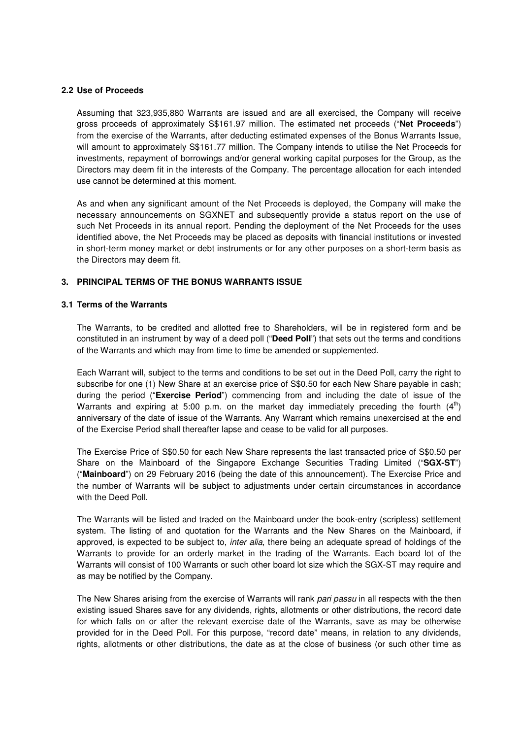#### **2.2 Use of Proceeds**

Assuming that 323,935,880 Warrants are issued and are all exercised, the Company will receive gross proceeds of approximately S\$161.97 million. The estimated net proceeds ("**Net Proceeds**") from the exercise of the Warrants, after deducting estimated expenses of the Bonus Warrants Issue, will amount to approximately S\$161.77 million. The Company intends to utilise the Net Proceeds for investments, repayment of borrowings and/or general working capital purposes for the Group, as the Directors may deem fit in the interests of the Company. The percentage allocation for each intended use cannot be determined at this moment.

As and when any significant amount of the Net Proceeds is deployed, the Company will make the necessary announcements on SGXNET and subsequently provide a status report on the use of such Net Proceeds in its annual report. Pending the deployment of the Net Proceeds for the uses identified above, the Net Proceeds may be placed as deposits with financial institutions or invested in short-term money market or debt instruments or for any other purposes on a short-term basis as the Directors may deem fit.

#### **3. PRINCIPAL TERMS OF THE BONUS WARRANTS ISSUE**

### **3.1 Terms of the Warrants**

The Warrants, to be credited and allotted free to Shareholders, will be in registered form and be constituted in an instrument by way of a deed poll ("**Deed Poll**") that sets out the terms and conditions of the Warrants and which may from time to time be amended or supplemented.

Each Warrant will, subject to the terms and conditions to be set out in the Deed Poll, carry the right to subscribe for one (1) New Share at an exercise price of S\$0.50 for each New Share payable in cash; during the period ("**Exercise Period**") commencing from and including the date of issue of the Warrants and expiring at 5:00 p.m. on the market day immediately preceding the fourth  $(4<sup>th</sup>)$ anniversary of the date of issue of the Warrants. Any Warrant which remains unexercised at the end of the Exercise Period shall thereafter lapse and cease to be valid for all purposes.

The Exercise Price of S\$0.50 for each New Share represents the last transacted price of S\$0.50 per Share on the Mainboard of the Singapore Exchange Securities Trading Limited ("**SGX-ST**") ("**Mainboard**") on 29 February 2016 (being the date of this announcement). The Exercise Price and the number of Warrants will be subject to adjustments under certain circumstances in accordance with the Deed Poll.

The Warrants will be listed and traded on the Mainboard under the book-entry (scripless) settlement system. The listing of and quotation for the Warrants and the New Shares on the Mainboard, if approved, is expected to be subject to, inter alia, there being an adequate spread of holdings of the Warrants to provide for an orderly market in the trading of the Warrants. Each board lot of the Warrants will consist of 100 Warrants or such other board lot size which the SGX-ST may require and as may be notified by the Company.

The New Shares arising from the exercise of Warrants will rank pari passu in all respects with the then existing issued Shares save for any dividends, rights, allotments or other distributions, the record date for which falls on or after the relevant exercise date of the Warrants, save as may be otherwise provided for in the Deed Poll. For this purpose, "record date" means, in relation to any dividends, rights, allotments or other distributions, the date as at the close of business (or such other time as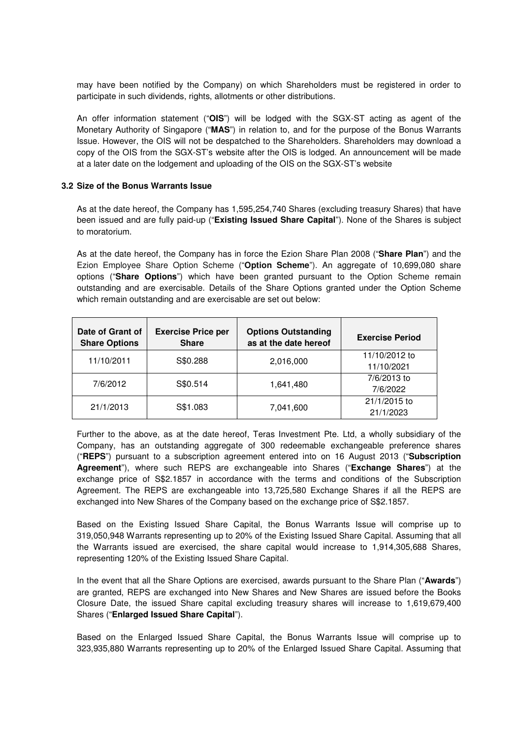may have been notified by the Company) on which Shareholders must be registered in order to participate in such dividends, rights, allotments or other distributions.

An offer information statement ("**OIS**") will be lodged with the SGX-ST acting as agent of the Monetary Authority of Singapore ("**MAS**") in relation to, and for the purpose of the Bonus Warrants Issue. However, the OIS will not be despatched to the Shareholders. Shareholders may download a copy of the OIS from the SGX-ST's website after the OIS is lodged. An announcement will be made at a later date on the lodgement and uploading of the OIS on the SGX-ST's website

#### **3.2 Size of the Bonus Warrants Issue**

As at the date hereof, the Company has 1,595,254,740 Shares (excluding treasury Shares) that have been issued and are fully paid-up ("**Existing Issued Share Capital**"). None of the Shares is subject to moratorium.

As at the date hereof, the Company has in force the Ezion Share Plan 2008 ("**Share Plan**") and the Ezion Employee Share Option Scheme ("**Option Scheme**"). An aggregate of 10,699,080 share options ("**Share Options**") which have been granted pursuant to the Option Scheme remain outstanding and are exercisable. Details of the Share Options granted under the Option Scheme which remain outstanding and are exercisable are set out below:

| Date of Grant of<br><b>Share Options</b> | <b>Exercise Price per</b><br><b>Share</b> | <b>Options Outstanding</b><br>as at the date hereof | <b>Exercise Period</b>      |
|------------------------------------------|-------------------------------------------|-----------------------------------------------------|-----------------------------|
| 11/10/2011                               | S\$0.288                                  | 2,016,000                                           | 11/10/2012 to<br>11/10/2021 |
| 7/6/2012                                 | S\$0.514                                  | 1,641,480                                           | 7/6/2013 to<br>7/6/2022     |
| 21/1/2013                                | S\$1.083                                  | 7,041,600                                           | 21/1/2015 to<br>21/1/2023   |

Further to the above, as at the date hereof, Teras Investment Pte. Ltd, a wholly subsidiary of the Company, has an outstanding aggregate of 300 redeemable exchangeable preference shares ("**REPS**") pursuant to a subscription agreement entered into on 16 August 2013 ("**Subscription Agreement**"), where such REPS are exchangeable into Shares ("**Exchange Shares**") at the exchange price of S\$2.1857 in accordance with the terms and conditions of the Subscription Agreement. The REPS are exchangeable into 13,725,580 Exchange Shares if all the REPS are exchanged into New Shares of the Company based on the exchange price of S\$2.1857.

Based on the Existing Issued Share Capital, the Bonus Warrants Issue will comprise up to 319,050,948 Warrants representing up to 20% of the Existing Issued Share Capital. Assuming that all the Warrants issued are exercised, the share capital would increase to 1,914,305,688 Shares, representing 120% of the Existing Issued Share Capital.

In the event that all the Share Options are exercised, awards pursuant to the Share Plan ("**Awards**") are granted, REPS are exchanged into New Shares and New Shares are issued before the Books Closure Date, the issued Share capital excluding treasury shares will increase to 1,619,679,400 Shares ("**Enlarged Issued Share Capital**").

Based on the Enlarged Issued Share Capital, the Bonus Warrants Issue will comprise up to 323,935,880 Warrants representing up to 20% of the Enlarged Issued Share Capital. Assuming that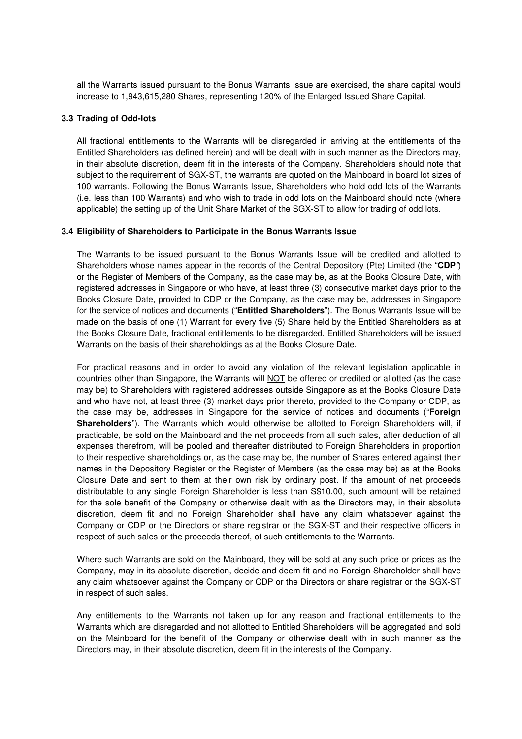all the Warrants issued pursuant to the Bonus Warrants Issue are exercised, the share capital would increase to 1,943,615,280 Shares, representing 120% of the Enlarged Issued Share Capital.

### **3.3 Trading of Odd-lots**

All fractional entitlements to the Warrants will be disregarded in arriving at the entitlements of the Entitled Shareholders (as defined herein) and will be dealt with in such manner as the Directors may, in their absolute discretion, deem fit in the interests of the Company. Shareholders should note that subject to the requirement of SGX-ST, the warrants are quoted on the Mainboard in board lot sizes of 100 warrants. Following the Bonus Warrants Issue, Shareholders who hold odd lots of the Warrants (i.e. less than 100 Warrants) and who wish to trade in odd lots on the Mainboard should note (where applicable) the setting up of the Unit Share Market of the SGX-ST to allow for trading of odd lots.

### **3.4 Eligibility of Shareholders to Participate in the Bonus Warrants Issue**

The Warrants to be issued pursuant to the Bonus Warrants Issue will be credited and allotted to Shareholders whose names appear in the records of the Central Depository (Pte) Limited (the "**CDP**") or the Register of Members of the Company, as the case may be, as at the Books Closure Date, with registered addresses in Singapore or who have, at least three (3) consecutive market days prior to the Books Closure Date, provided to CDP or the Company, as the case may be, addresses in Singapore for the service of notices and documents ("**Entitled Shareholders**"). The Bonus Warrants Issue will be made on the basis of one (1) Warrant for every five (5) Share held by the Entitled Shareholders as at the Books Closure Date, fractional entitlements to be disregarded. Entitled Shareholders will be issued Warrants on the basis of their shareholdings as at the Books Closure Date.

For practical reasons and in order to avoid any violation of the relevant legislation applicable in countries other than Singapore, the Warrants will NOT be offered or credited or allotted (as the case may be) to Shareholders with registered addresses outside Singapore as at the Books Closure Date and who have not, at least three (3) market days prior thereto, provided to the Company or CDP, as the case may be, addresses in Singapore for the service of notices and documents ("**Foreign Shareholders**"). The Warrants which would otherwise be allotted to Foreign Shareholders will, if practicable, be sold on the Mainboard and the net proceeds from all such sales, after deduction of all expenses therefrom, will be pooled and thereafter distributed to Foreign Shareholders in proportion to their respective shareholdings or, as the case may be, the number of Shares entered against their names in the Depository Register or the Register of Members (as the case may be) as at the Books Closure Date and sent to them at their own risk by ordinary post. If the amount of net proceeds distributable to any single Foreign Shareholder is less than S\$10.00, such amount will be retained for the sole benefit of the Company or otherwise dealt with as the Directors may, in their absolute discretion, deem fit and no Foreign Shareholder shall have any claim whatsoever against the Company or CDP or the Directors or share registrar or the SGX-ST and their respective officers in respect of such sales or the proceeds thereof, of such entitlements to the Warrants.

Where such Warrants are sold on the Mainboard, they will be sold at any such price or prices as the Company, may in its absolute discretion, decide and deem fit and no Foreign Shareholder shall have any claim whatsoever against the Company or CDP or the Directors or share registrar or the SGX-ST in respect of such sales.

Any entitlements to the Warrants not taken up for any reason and fractional entitlements to the Warrants which are disregarded and not allotted to Entitled Shareholders will be aggregated and sold on the Mainboard for the benefit of the Company or otherwise dealt with in such manner as the Directors may, in their absolute discretion, deem fit in the interests of the Company.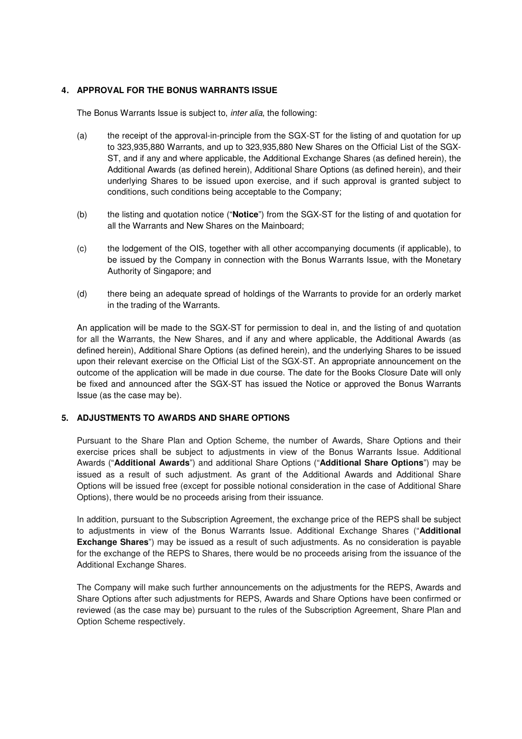# **4. APPROVAL FOR THE BONUS WARRANTS ISSUE**

The Bonus Warrants Issue is subject to, inter alia, the following:

- (a) the receipt of the approval-in-principle from the SGX-ST for the listing of and quotation for up to 323,935,880 Warrants, and up to 323,935,880 New Shares on the Official List of the SGX-ST, and if any and where applicable, the Additional Exchange Shares (as defined herein), the Additional Awards (as defined herein), Additional Share Options (as defined herein), and their underlying Shares to be issued upon exercise, and if such approval is granted subject to conditions, such conditions being acceptable to the Company;
- (b) the listing and quotation notice ("**Notice**") from the SGX-ST for the listing of and quotation for all the Warrants and New Shares on the Mainboard;
- (c) the lodgement of the OIS, together with all other accompanying documents (if applicable), to be issued by the Company in connection with the Bonus Warrants Issue, with the Monetary Authority of Singapore; and
- (d) there being an adequate spread of holdings of the Warrants to provide for an orderly market in the trading of the Warrants.

An application will be made to the SGX-ST for permission to deal in, and the listing of and quotation for all the Warrants, the New Shares, and if any and where applicable, the Additional Awards (as defined herein), Additional Share Options (as defined herein), and the underlying Shares to be issued upon their relevant exercise on the Official List of the SGX-ST. An appropriate announcement on the outcome of the application will be made in due course. The date for the Books Closure Date will only be fixed and announced after the SGX-ST has issued the Notice or approved the Bonus Warrants Issue (as the case may be).

# **5. ADJUSTMENTS TO AWARDS AND SHARE OPTIONS**

Pursuant to the Share Plan and Option Scheme, the number of Awards, Share Options and their exercise prices shall be subject to adjustments in view of the Bonus Warrants Issue. Additional Awards ("**Additional Awards**") and additional Share Options ("**Additional Share Options**") may be issued as a result of such adjustment. As grant of the Additional Awards and Additional Share Options will be issued free (except for possible notional consideration in the case of Additional Share Options), there would be no proceeds arising from their issuance.

In addition, pursuant to the Subscription Agreement, the exchange price of the REPS shall be subject to adjustments in view of the Bonus Warrants Issue. Additional Exchange Shares ("**Additional Exchange Shares**") may be issued as a result of such adjustments. As no consideration is payable for the exchange of the REPS to Shares, there would be no proceeds arising from the issuance of the Additional Exchange Shares.

The Company will make such further announcements on the adjustments for the REPS, Awards and Share Options after such adjustments for REPS, Awards and Share Options have been confirmed or reviewed (as the case may be) pursuant to the rules of the Subscription Agreement, Share Plan and Option Scheme respectively.